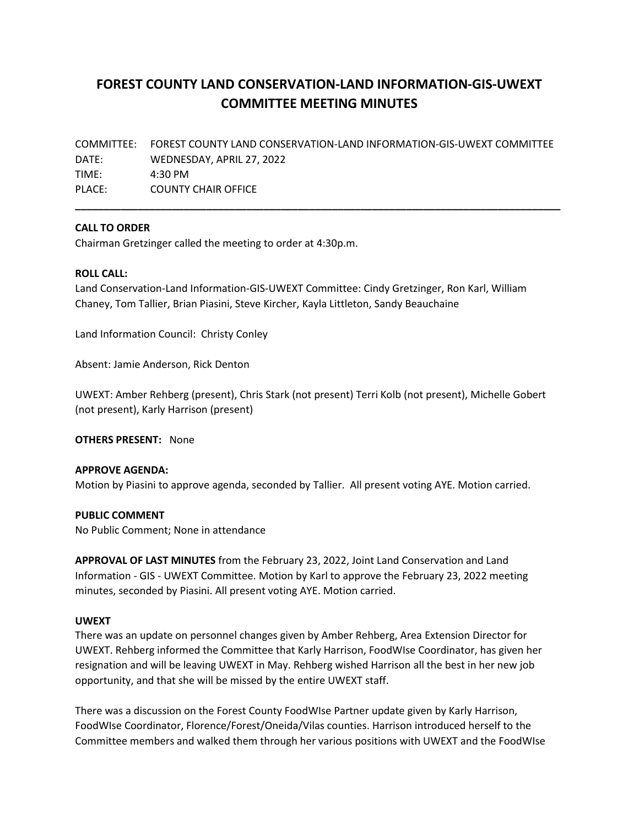# **FOREST COUNTY LAND CONSERVATION-LAND INFORMATION-GIS-UWEXT COMMITTEE MEETING MINUTES**

COMMITTEE: FOREST COUNTY LAND CONSERVATION-LAND INFORMATION-GIS-UWEXT COMMITTEE DATE: WEDNESDAY, APRIL 27, 2022 TIME: 4:30 PM PLACE: COUNTY CHAIR OFFICE

**\_\_\_\_\_\_\_\_\_\_\_\_\_\_\_\_\_\_\_\_\_\_\_\_\_\_\_\_\_\_\_\_\_\_\_\_\_\_\_\_\_\_\_\_\_\_\_\_\_\_\_\_\_\_\_\_\_\_\_\_\_\_\_\_\_\_\_\_\_\_\_\_\_\_\_\_\_\_\_\_\_\_\_\_\_**

### **CALL TO ORDER**

Chairman Gretzinger called the meeting to order at 4:30p.m.

#### **ROLL CALL:**

Land Conservation-Land Information-GIS-UWEXT Committee: Cindy Gretzinger, Ron Karl, William Chaney, Tom Tallier, Brian Piasini, Steve Kircher, Kayla Littleton, Sandy Beauchaine

Land Information Council: Christy Conley

Absent: Jamie Anderson, Rick Denton

UWEXT: Amber Rehberg (present), Chris Stark (not present) Terri Kolb (not present), Michelle Gobert (not present), Karly Harrison (present)

**OTHERS PRESENT:** None

## **APPROVE AGENDA:**

Motion by Piasini to approve agenda, seconded by Tallier. All present voting AYE. Motion carried.

#### **PUBLIC COMMENT**

No Public Comment; None in attendance

**APPROVAL OF LAST MINUTES** from the February 23, 2022, Joint Land Conservation and Land Information - GIS - UWEXT Committee. Motion by Karl to approve the February 23, 2022 meeting minutes, seconded by Piasini. All present voting AYE. Motion carried.

#### **UWEXT**

There was an update on personnel changes given by Amber Rehberg, Area Extension Director for UWEXT. Rehberg informed the Committee that Karly Harrison, FoodWIse Coordinator, has given her resignation and will be leaving UWEXT in May. Rehberg wished Harrison all the best in her new job opportunity, and that she will be missed by the entire UWEXT staff.

There was a discussion on the Forest County FoodWIse Partner update given by Karly Harrison, FoodWIse Coordinator, Florence/Forest/Oneida/Vilas counties. Harrison introduced herself to the Committee members and walked them through her various positions with UWEXT and the FoodWIse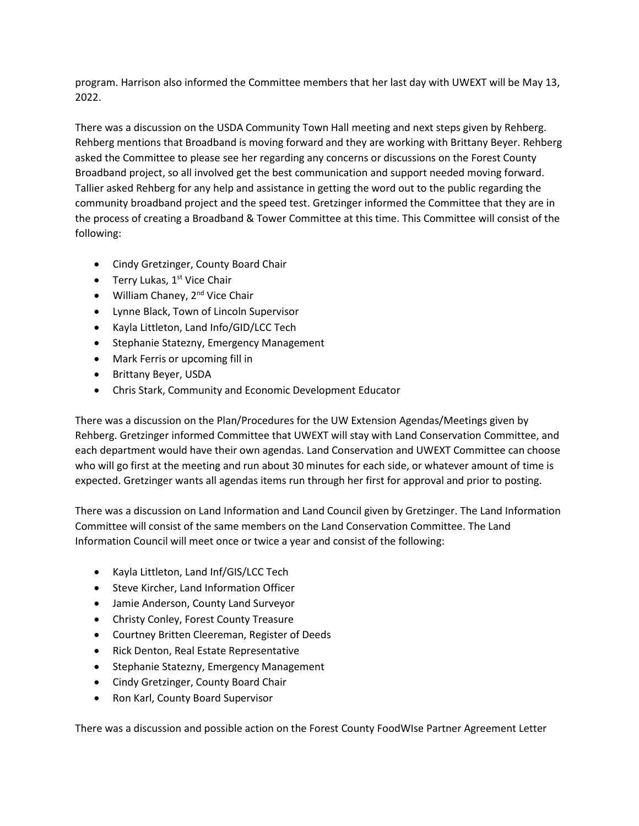program. Harrison also informed the Committee members that her last day with UWEXT will be May 13, 2022.

There was a discussion on the USDA Community Town Hall meeting and next steps given by Rehberg. Rehberg mentions that Broadband is moving forward and they are working with Brittany Beyer. Rehberg asked the Committee to please see her regarding any concerns or discussions on the Forest County Broadband project, so all involved get the best communication and support needed moving forward. Tallier asked Rehberg for any help and assistance in getting the word out to the public regarding the community broadband project and the speed test. Gretzinger informed the Committee that they are in the process of creating a Broadband & Tower Committee at this time. This Committee will consist of the following:

- Cindy Gretzinger, County Board Chair
- Terry Lukas,  $1<sup>st</sup>$  Vice Chair
- William Chaney, 2<sup>nd</sup> Vice Chair
- Lynne Black, Town of Lincoln Supervisor
- Kayla Littleton, Land Info/GID/LCC Tech
- Stephanie Statezny, Emergency Management
- Mark Ferris or upcoming fill in
- Brittany Beyer, USDA
- Chris Stark, Community and Economic Development Educator

There was a discussion on the Plan/Procedures for the UW Extension Agendas/Meetings given by Rehberg. Gretzinger informed Committee that UWEXT will stay with Land Conservation Committee, and each department would have their own agendas. Land Conservation and UWEXT Committee can choose who will go first at the meeting and run about 30 minutes for each side, or whatever amount of time is expected. Gretzinger wants all agendas items run through her first for approval and prior to posting.

There was a discussion on Land Information and Land Council given by Gretzinger. The Land Information Committee will consist of the same members on the Land Conservation Committee. The Land Information Council will meet once or twice a year and consist of the following:

- Kayla Littleton, Land Inf/GIS/LCC Tech
- Steve Kircher, Land Information Officer
- Jamie Anderson, County Land Surveyor
- Christy Conley, Forest County Treasure
- Courtney Britten Cleereman, Register of Deeds
- Rick Denton, Real Estate Representative
- Stephanie Statezny, Emergency Management
- Cindy Gretzinger, County Board Chair
- Ron Karl, County Board Supervisor

There was a discussion and possible action on the Forest County FoodWIse Partner Agreement Letter